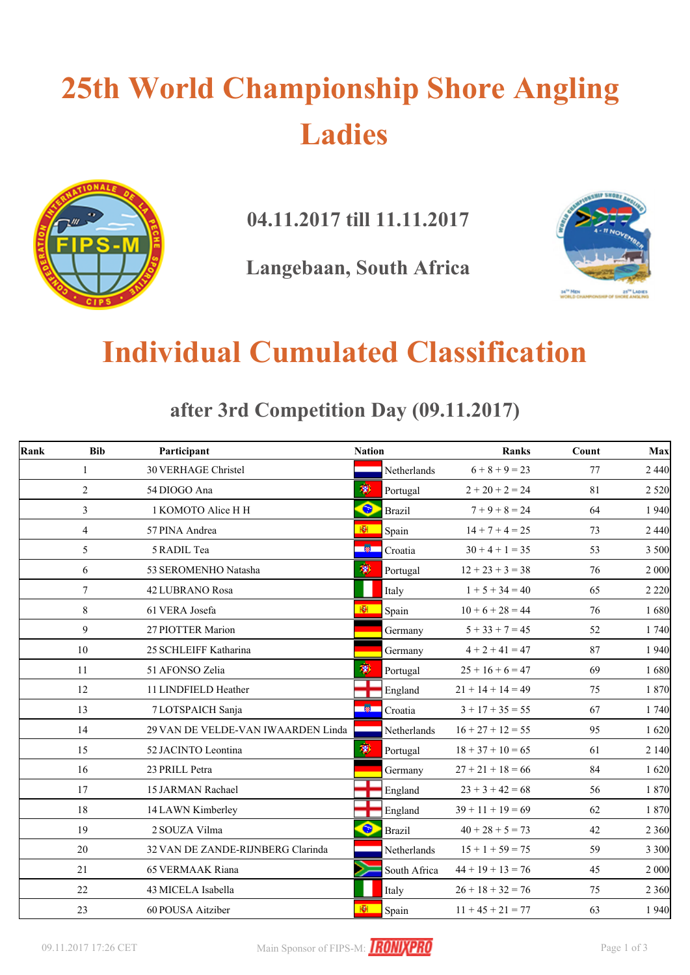# **25th World Championship Shore Angling Ladies**



**04.11.2017 till 11.11.2017**

**Langebaan, South Africa**



### **Individual Cumulated Classification**

**after 3rd Competition Day (09.11.2017)**

| Rank | <b>Bib</b>      | Participant                        | <b>Nation</b> |               | <b>Ranks</b>        | Count | Max     |
|------|-----------------|------------------------------------|---------------|---------------|---------------------|-------|---------|
|      | $\mathbf{1}$    | <b>30 VERHAGE Christel</b>         |               | Netherlands   | $6 + 8 + 9 = 23$    | 77    | 2 4 4 0 |
|      | $\overline{2}$  | 54 DIOGO Ana                       | 瀏             | Portugal      | $2 + 20 + 2 = 24$   | 81    | 2 5 2 0 |
|      | $\overline{3}$  | 1 KOMOTO Alice H H                 | $\bullet$     | <b>Brazil</b> | $7 + 9 + 8 = 24$    | 64    | 1 9 4 0 |
|      | $\overline{4}$  | 57 PINA Andrea                     | ЮI.           | Spain         | $14 + 7 + 4 = 25$   | 73    | 2 4 4 0 |
|      | 5               | 5 RADIL Tea                        |               | Croatia       | $30 + 4 + 1 = 35$   | 53    | 3 500   |
|      | 6               | 53 SEROMENHO Natasha               | 澚             | Portugal      | $12 + 23 + 3 = 38$  | 76    | 2 000   |
|      | $\tau$          | <b>42 LUBRANO Rosa</b>             |               | Italy         | $1 + 5 + 34 = 40$   | 65    | 2 2 2 0 |
|      | 8               | 61 VERA Josefa                     | 图             | Spain         | $10 + 6 + 28 = 44$  | 76    | 1680    |
|      | 9               | 27 PIOTTER Marion                  |               | Germany       | $5 + 33 + 7 = 45$   | 52    | 1 740   |
|      | 10 <sup>1</sup> | 25 SCHLEIFF Katharina              |               | Germany       | $4 + 2 + 41 = 47$   | 87    | 1 9 4 0 |
|      | 11              | 51 AFONSO Zelia                    |               | Portugal      | $25 + 16 + 6 = 47$  | 69    | 1680    |
|      | 12              | 11 LINDFIELD Heather               |               | England       | $21 + 14 + 14 = 49$ | 75    | 1870    |
|      | 13              | 7 LOTSPAICH Sanja                  | -80           | Croatia       | $3 + 17 + 35 = 55$  | 67    | 1 740   |
|      | 14              | 29 VAN DE VELDE-VAN IWAARDEN Linda |               | Netherlands   | $16 + 27 + 12 = 55$ | 95    | 1620    |
|      | 15              | 52 JACINTO Leontina                | 瀏             | Portugal      | $18 + 37 + 10 = 65$ | 61    | 2 1 4 0 |
|      | 16              | 23 PRILL Petra                     |               | Germany       | $27 + 21 + 18 = 66$ | 84    | 1620    |
|      | 17              | 15 JARMAN Rachael                  |               | England       | $23 + 3 + 42 = 68$  | 56    | 1870    |
|      | 18              | 14 LAWN Kimberley                  |               | England       | $39 + 11 + 19 = 69$ | 62    | 1870    |
|      | 19              | 2 SOUZA Vilma                      | ۰             | <b>Brazil</b> | $40 + 28 + 5 = 73$  | 42    | 2 3 6 0 |
|      | 20              | 32 VAN DE ZANDE-RIJNBERG Clarinda  |               | Netherlands   | $15 + 1 + 59 = 75$  | 59    | 3 3 0 0 |
|      | 21              | <b>65 VERMAAK Riana</b>            |               | South Africa  | $44 + 19 + 13 = 76$ | 45    | 2 000   |
|      | 22              | 43 MICELA Isabella                 |               | Italy         | $26 + 18 + 32 = 76$ | 75    | 2 3 6 0 |
|      | 23              | 60 POUSA Aitziber                  | ख             | Spain         | $11 + 45 + 21 = 77$ | 63    | 1940    |

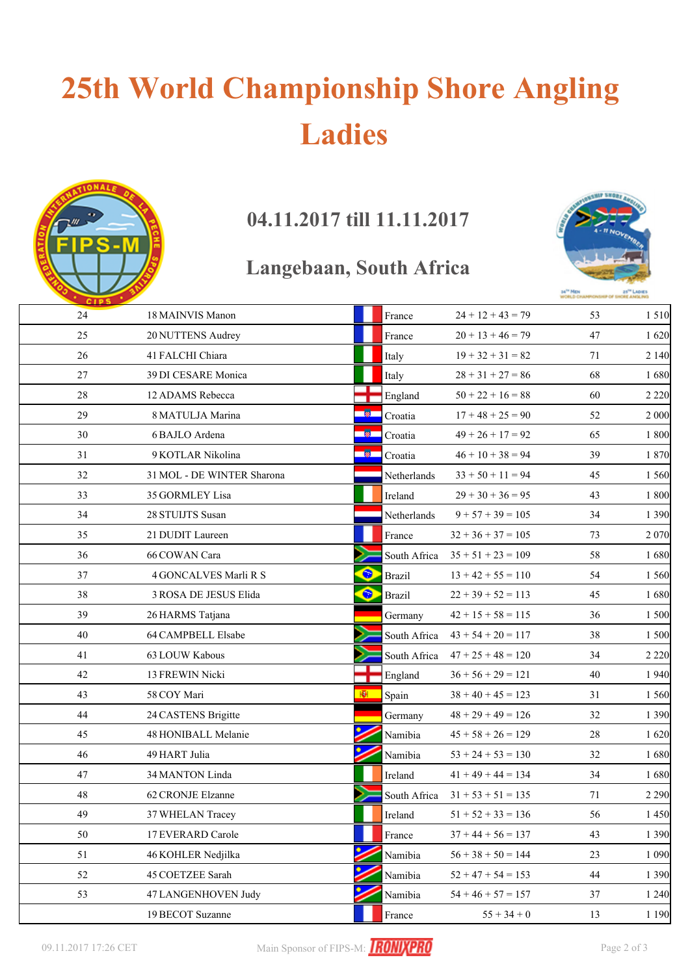# **25th World Championship Shore Angling Ladies**



### **04.11.2017 till 11.11.2017**

#### **Langebaan, South Africa**



| 24 | 18 MAINVIS Manon           |            | France        | $24 + 12 + 43 = 79$  | 53 | 1510    |
|----|----------------------------|------------|---------------|----------------------|----|---------|
| 25 | 20 NUTTENS Audrey          |            | France        | $20 + 13 + 46 = 79$  | 47 | 1 6 2 0 |
| 26 | 41 FALCHI Chiara           |            | Italy         | $19 + 32 + 31 = 82$  | 71 | 2 1 4 0 |
| 27 | 39 DI CESARE Monica        |            | Italy         | $28 + 31 + 27 = 86$  | 68 | 1680    |
| 28 | 12 ADAMS Rebecca           |            | England       | $50 + 22 + 16 = 88$  | 60 | 2 2 2 0 |
| 29 | 8 MATULJA Marina           | <b>R</b>   | Croatia       | $17 + 48 + 25 = 90$  | 52 | 2 000   |
| 30 | 6 BAJLO Ardena             | <b>A</b> 1 | Croatia       | $49 + 26 + 17 = 92$  | 65 | 1800    |
| 31 | 9 KOTLAR Nikolina          | <b>R</b>   | Croatia       | $46 + 10 + 38 = 94$  | 39 | 1870    |
| 32 | 31 MOL - DE WINTER Sharona |            | Netherlands   | $33 + 50 + 11 = 94$  | 45 | 1 5 6 0 |
| 33 | 35 GORMLEY Lisa            |            | Ireland       | $29 + 30 + 36 = 95$  | 43 | 1 800   |
| 34 | 28 STUIJTS Susan           |            | Netherlands   | $9 + 57 + 39 = 105$  | 34 | 1 3 9 0 |
| 35 | 21 DUDIT Laureen           |            | France        | $32 + 36 + 37 = 105$ | 73 | 2 0 7 0 |
| 36 | 66 COWAN Cara              |            | South Africa  | $35 + 51 + 23 = 109$ | 58 | 1680    |
| 37 | 4 GONCALVES Marli R S      | $\bullet$  | <b>Brazil</b> | $13 + 42 + 55 = 110$ | 54 | 1 5 6 0 |
| 38 | 3 ROSA DE JESUS Elida      | $\bullet$  | <b>Brazil</b> | $22 + 39 + 52 = 113$ | 45 | 1680    |
| 39 | 26 HARMS Tatjana           |            | Germany       | $42 + 15 + 58 = 115$ | 36 | 1 500   |
| 40 | 64 CAMPBELL Elsabe         |            | South Africa  | $43 + 54 + 20 = 117$ | 38 | 1 500   |
| 41 | 63 LOUW Kabous             |            | South Africa  | $47 + 25 + 48 = 120$ | 34 | 2 2 2 0 |
| 42 | 13 FREWIN Nicki            |            | England       | $36 + 56 + 29 = 121$ | 40 | 1 9 4 0 |
| 43 | 58 COY Mari                | ю          | Spain         | $38 + 40 + 45 = 123$ | 31 | 1 5 6 0 |
| 44 | 24 CASTENS Brigitte        |            | Germany       | $48 + 29 + 49 = 126$ | 32 | 1 3 9 0 |
| 45 | 48 HONIBALL Melanie        |            | Namibia       | $45 + 58 + 26 = 129$ | 28 | 1 6 2 0 |
| 46 | 49 HART Julia              |            | Namibia       | $53 + 24 + 53 = 130$ | 32 | 1680    |
| 47 | 34 MANTON Linda            |            | Ireland       | $41 + 49 + 44 = 134$ | 34 | 1680    |
| 48 | 62 CRONJE Elzanne          |            | South Africa  | $31 + 53 + 51 = 135$ | 71 | 2 2 9 0 |
| 49 | 37 WHELAN Tracey           |            | Ireland       | $51 + 52 + 33 = 136$ | 56 | 1450    |
| 50 | 17 EVERARD Carole          |            | France        | $37 + 44 + 56 = 137$ | 43 | 1 3 9 0 |
| 51 | 46 KOHLER Nedjilka         |            | Namibia       | $56 + 38 + 50 = 144$ | 23 | 1 0 9 0 |
| 52 | 45 COETZEE Sarah           |            | Namibia       | $52 + 47 + 54 = 153$ | 44 | 1 3 9 0 |
| 53 | 47 LANGENHOVEN Judy        |            | Namibia       | $54 + 46 + 57 = 157$ | 37 | 1 2 4 0 |
|    | 19 BECOT Suzanne           |            | France        | $55 + 34 + 0$        | 13 | 1 1 9 0 |